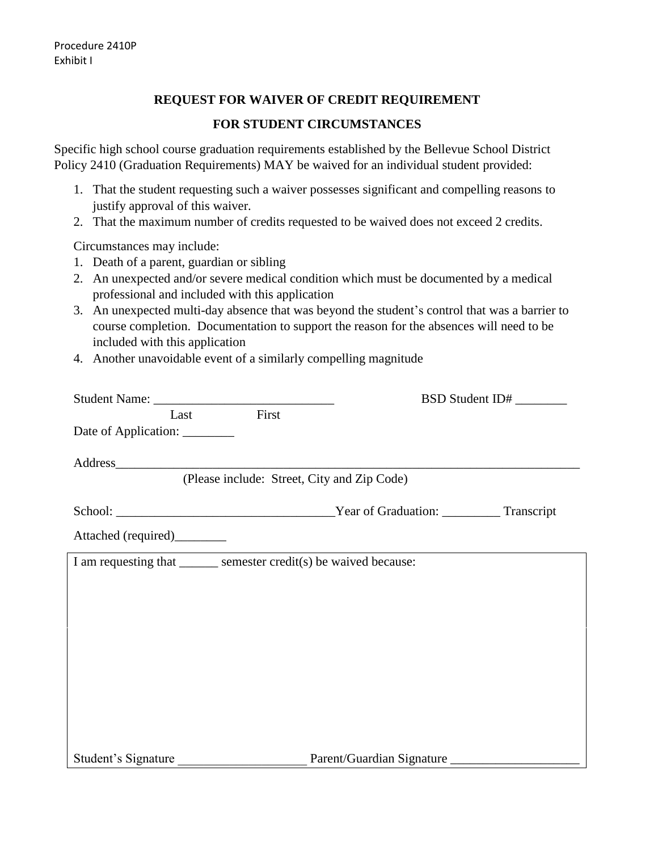## **REQUEST FOR WAIVER OF CREDIT REQUIREMENT**

## **FOR STUDENT CIRCUMSTANCES**

Specific high school course graduation requirements established by the Bellevue School District Policy 2410 (Graduation Requirements) MAY be waived for an individual student provided:

- 1. That the student requesting such a waiver possesses significant and compelling reasons to justify approval of this waiver.
- 2. That the maximum number of credits requested to be waived does not exceed 2 credits.

Circumstances may include:

- 1. Death of a parent, guardian or sibling
- 2. An unexpected and/or severe medical condition which must be documented by a medical professional and included with this application
- 3. An unexpected multi-day absence that was beyond the student's control that was a barrier to course completion. Documentation to support the reason for the absences will need to be included with this application
- 4. Another unavoidable event of a similarly compelling magnitude

|                                                                    | BSD Student ID#           |
|--------------------------------------------------------------------|---------------------------|
| First<br>Last                                                      |                           |
| Date of Application: ________                                      |                           |
|                                                                    |                           |
|                                                                    |                           |
| (Please include: Street, City and Zip Code)                        |                           |
| School: Transcript Vear of Graduation: Transcript                  |                           |
| Attached (required)_________                                       |                           |
| I am requesting that _______ semester credit(s) be waived because: |                           |
|                                                                    |                           |
|                                                                    |                           |
|                                                                    |                           |
|                                                                    |                           |
|                                                                    |                           |
|                                                                    |                           |
|                                                                    |                           |
|                                                                    |                           |
|                                                                    |                           |
|                                                                    |                           |
| Student's Signature                                                | Parent/Guardian Signature |